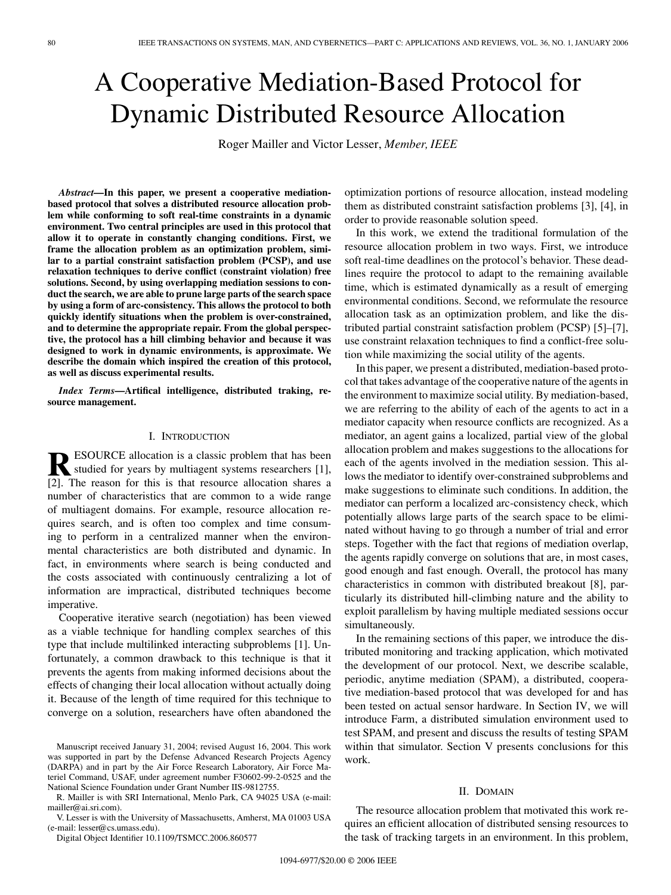# A Cooperative Mediation-Based Protocol for Dynamic Distributed Resource Allocation

Roger Mailler and Victor Lesser, *Member, IEEE*

*Abstract***—In this paper, we present a cooperative mediationbased protocol that solves a distributed resource allocation problem while conforming to soft real-time constraints in a dynamic environment. Two central principles are used in this protocol that allow it to operate in constantly changing conditions. First, we frame the allocation problem as an optimization problem, similar to a partial constraint satisfaction problem (PCSP), and use relaxation techniques to derive conflict (constraint violation) free solutions. Second, by using overlapping mediation sessions to conduct the search, we are able to prune large parts of the search space by using a form of arc-consistency. This allows the protocol to both quickly identify situations when the problem is over-constrained, and to determine the appropriate repair. From the global perspective, the protocol has a hill climbing behavior and because it was designed to work in dynamic environments, is approximate. We describe the domain which inspired the creation of this protocol, as well as discuss experimental results.**

*Index Terms***—Artifical intelligence, distributed traking, resource management.**

## I. INTRODUCTION

**RESOURCE** allocation is a classic problem that has been<br>studied for years by multiagent systems researchers [1],<br>[2] The reason for this is that resource allocation shares a [2]. The reason for this is that resource allocation shares a number of characteristics that are common to a wide range of multiagent domains. For example, resource allocation requires search, and is often too complex and time consuming to perform in a centralized manner when the environmental characteristics are both distributed and dynamic. In fact, in environments where search is being conducted and the costs associated with continuously centralizing a lot of information are impractical, distributed techniques become imperative.

Cooperative iterative search (negotiation) has been viewed as a viable technique for handling complex searches of this type that include multilinked interacting subproblems [1]. Unfortunately, a common drawback to this technique is that it prevents the agents from making informed decisions about the effects of changing their local allocation without actually doing it. Because of the length of time required for this technique to converge on a solution, researchers have often abandoned the

Digital Object Identifier 10.1109/TSMCC.2006.860577

optimization portions of resource allocation, instead modeling them as distributed constraint satisfaction problems [3], [4], in order to provide reasonable solution speed.

In this work, we extend the traditional formulation of the resource allocation problem in two ways. First, we introduce soft real-time deadlines on the protocol's behavior. These deadlines require the protocol to adapt to the remaining available time, which is estimated dynamically as a result of emerging environmental conditions. Second, we reformulate the resource allocation task as an optimization problem, and like the distributed partial constraint satisfaction problem (PCSP) [5]–[7], use constraint relaxation techniques to find a conflict-free solution while maximizing the social utility of the agents.

In this paper, we present a distributed, mediation-based protocol that takes advantage of the cooperative nature of the agents in the environment to maximize social utility. By mediation-based, we are referring to the ability of each of the agents to act in a mediator capacity when resource conflicts are recognized. As a mediator, an agent gains a localized, partial view of the global allocation problem and makes suggestions to the allocations for each of the agents involved in the mediation session. This allows the mediator to identify over-constrained subproblems and make suggestions to eliminate such conditions. In addition, the mediator can perform a localized arc-consistency check, which potentially allows large parts of the search space to be eliminated without having to go through a number of trial and error steps. Together with the fact that regions of mediation overlap, the agents rapidly converge on solutions that are, in most cases, good enough and fast enough. Overall, the protocol has many characteristics in common with distributed breakout [8], particularly its distributed hill-climbing nature and the ability to exploit parallelism by having multiple mediated sessions occur simultaneously.

In the remaining sections of this paper, we introduce the distributed monitoring and tracking application, which motivated the development of our protocol. Next, we describe scalable, periodic, anytime mediation (SPAM), a distributed, cooperative mediation-based protocol that was developed for and has been tested on actual sensor hardware. In Section IV, we will introduce Farm, a distributed simulation environment used to test SPAM, and present and discuss the results of testing SPAM within that simulator. Section V presents conclusions for this work.

## II. DOMAIN

The resource allocation problem that motivated this work requires an efficient allocation of distributed sensing resources to the task of tracking targets in an environment. In this problem,

Manuscript received January 31, 2004; revised August 16, 2004. This work was supported in part by the Defense Advanced Research Projects Agency (DARPA) and in part by the Air Force Research Laboratory, Air Force Materiel Command, USAF, under agreement number F30602-99-2-0525 and the National Science Foundation under Grant Number IIS-9812755.

R. Mailler is with SRI International, Menlo Park, CA 94025 USA (e-mail: mailler@ai.sri.com).

V. Lesser is with the University of Massachusetts, Amherst, MA 01003 USA (e-mail: lesser@cs.umass.edu).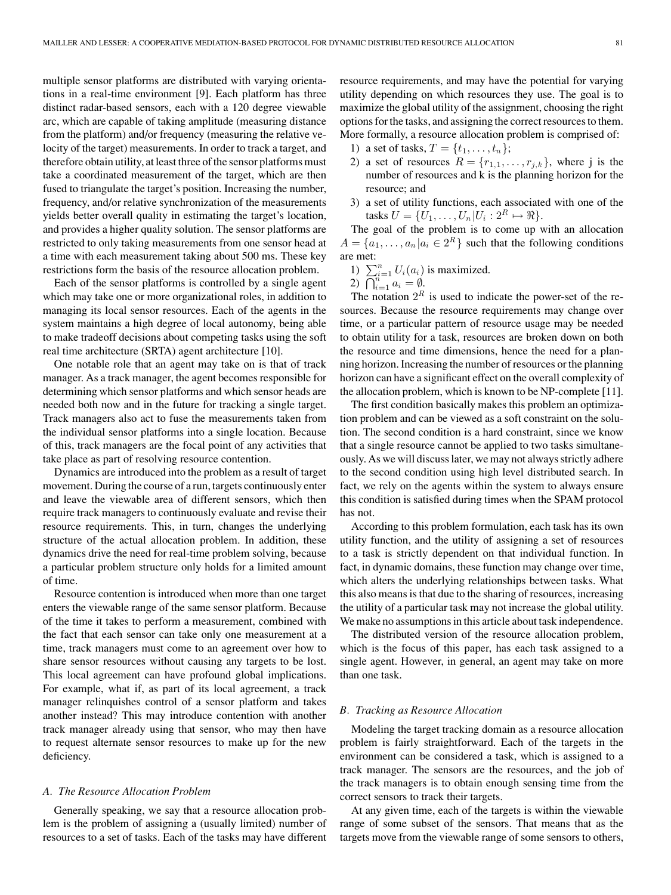multiple sensor platforms are distributed with varying orientations in a real-time environment [9]. Each platform has three distinct radar-based sensors, each with a 120 degree viewable arc, which are capable of taking amplitude (measuring distance from the platform) and/or frequency (measuring the relative velocity of the target) measurements. In order to track a target, and therefore obtain utility, at least three of the sensor platforms must take a coordinated measurement of the target, which are then fused to triangulate the target's position. Increasing the number, frequency, and/or relative synchronization of the measurements yields better overall quality in estimating the target's location, and provides a higher quality solution. The sensor platforms are restricted to only taking measurements from one sensor head at a time with each measurement taking about 500 ms. These key restrictions form the basis of the resource allocation problem.

Each of the sensor platforms is controlled by a single agent which may take one or more organizational roles, in addition to managing its local sensor resources. Each of the agents in the system maintains a high degree of local autonomy, being able to make tradeoff decisions about competing tasks using the soft real time architecture (SRTA) agent architecture [10].

One notable role that an agent may take on is that of track manager. As a track manager, the agent becomes responsible for determining which sensor platforms and which sensor heads are needed both now and in the future for tracking a single target. Track managers also act to fuse the measurements taken from the individual sensor platforms into a single location. Because of this, track managers are the focal point of any activities that take place as part of resolving resource contention.

Dynamics are introduced into the problem as a result of target movement. During the course of a run, targets continuously enter and leave the viewable area of different sensors, which then require track managers to continuously evaluate and revise their resource requirements. This, in turn, changes the underlying structure of the actual allocation problem. In addition, these dynamics drive the need for real-time problem solving, because a particular problem structure only holds for a limited amount of time.

Resource contention is introduced when more than one target enters the viewable range of the same sensor platform. Because of the time it takes to perform a measurement, combined with the fact that each sensor can take only one measurement at a time, track managers must come to an agreement over how to share sensor resources without causing any targets to be lost. This local agreement can have profound global implications. For example, what if, as part of its local agreement, a track manager relinquishes control of a sensor platform and takes another instead? This may introduce contention with another track manager already using that sensor, who may then have to request alternate sensor resources to make up for the new deficiency.

#### *A. The Resource Allocation Problem*

Generally speaking, we say that a resource allocation problem is the problem of assigning a (usually limited) number of resources to a set of tasks. Each of the tasks may have different

resource requirements, and may have the potential for varying utility depending on which resources they use. The goal is to maximize the global utility of the assignment, choosing the right options for the tasks, and assigning the correct resources to them. More formally, a resource allocation problem is comprised of:

- 1) a set of tasks,  $T = \{t_1, ..., t_n\}$ ;
- 2) a set of resources  $R = \{r_{1,1}, \ldots, r_{j,k}\}\,$ , where j is the number of resources and k is the planning horizon for the resource; and
- 3) a set of utility functions, each associated with one of the tasks  $U = \{U_1, \ldots, U_n | U_i : 2^R \mapsto \Re\}.$

The goal of the problem is to come up with an allocation  $A = \{a_1, \ldots, a_n | a_i \in 2^R\}$  such that the following conditions are met:

- 1)  $\sum_{i=1}^{n} U_i(a_i)$  is maximized.
- 2)  $\overline{\bigcap_{i=1}^{n}} a_i = \emptyset$ .

The notation  $2^R$  is used to indicate the power-set of the resources. Because the resource requirements may change over time, or a particular pattern of resource usage may be needed to obtain utility for a task, resources are broken down on both the resource and time dimensions, hence the need for a planning horizon. Increasing the number of resources or the planning horizon can have a significant effect on the overall complexity of the allocation problem, which is known to be NP-complete [11].

The first condition basically makes this problem an optimization problem and can be viewed as a soft constraint on the solution. The second condition is a hard constraint, since we know that a single resource cannot be applied to two tasks simultaneously. As we will discuss later, we may not always strictly adhere to the second condition using high level distributed search. In fact, we rely on the agents within the system to always ensure this condition is satisfied during times when the SPAM protocol has not.

According to this problem formulation, each task has its own utility function, and the utility of assigning a set of resources to a task is strictly dependent on that individual function. In fact, in dynamic domains, these function may change over time, which alters the underlying relationships between tasks. What this also means is that due to the sharing of resources, increasing the utility of a particular task may not increase the global utility. We make no assumptions in this article about task independence.

The distributed version of the resource allocation problem, which is the focus of this paper, has each task assigned to a single agent. However, in general, an agent may take on more than one task.

## *B. Tracking as Resource Allocation*

Modeling the target tracking domain as a resource allocation problem is fairly straightforward. Each of the targets in the environment can be considered a task, which is assigned to a track manager. The sensors are the resources, and the job of the track managers is to obtain enough sensing time from the correct sensors to track their targets.

At any given time, each of the targets is within the viewable range of some subset of the sensors. That means that as the targets move from the viewable range of some sensors to others,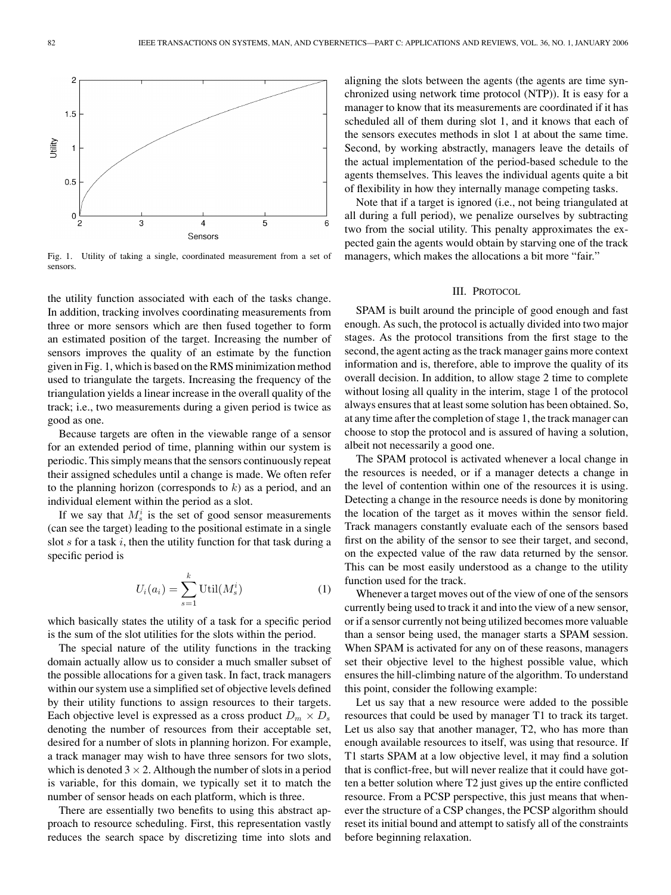

Fig. 1. Utility of taking a single, coordinated measurement from a set of sensors.

the utility function associated with each of the tasks change. In addition, tracking involves coordinating measurements from three or more sensors which are then fused together to form an estimated position of the target. Increasing the number of sensors improves the quality of an estimate by the function given in Fig. 1, which is based on the RMS minimization method used to triangulate the targets. Increasing the frequency of the triangulation yields a linear increase in the overall quality of the track; i.e., two measurements during a given period is twice as good as one.

Because targets are often in the viewable range of a sensor for an extended period of time, planning within our system is periodic. This simply means that the sensors continuously repeat their assigned schedules until a change is made. We often refer to the planning horizon (corresponds to  $k$ ) as a period, and an individual element within the period as a slot.

If we say that  $M_s^i$  is the set of good sensor measurements (can see the target) leading to the positional estimate in a single slot s for a task i, then the utility function for that task during a specific period is

$$
U_i(a_i) = \sum_{s=1}^k \text{Util}(M_s^i)
$$
 (1)

which basically states the utility of a task for a specific period is the sum of the slot utilities for the slots within the period.

The special nature of the utility functions in the tracking domain actually allow us to consider a much smaller subset of the possible allocations for a given task. In fact, track managers within our system use a simplified set of objective levels defined by their utility functions to assign resources to their targets. Each objective level is expressed as a cross product  $D_m \times D_s$ denoting the number of resources from their acceptable set, desired for a number of slots in planning horizon. For example, a track manager may wish to have three sensors for two slots, which is denoted  $3 \times 2$ . Although the number of slots in a period is variable, for this domain, we typically set it to match the number of sensor heads on each platform, which is three.

There are essentially two benefits to using this abstract approach to resource scheduling. First, this representation vastly reduces the search space by discretizing time into slots and aligning the slots between the agents (the agents are time synchronized using network time protocol (NTP)). It is easy for a manager to know that its measurements are coordinated if it has scheduled all of them during slot 1, and it knows that each of the sensors executes methods in slot 1 at about the same time. Second, by working abstractly, managers leave the details of the actual implementation of the period-based schedule to the agents themselves. This leaves the individual agents quite a bit of flexibility in how they internally manage competing tasks.

Note that if a target is ignored (i.e., not being triangulated at all during a full period), we penalize ourselves by subtracting two from the social utility. This penalty approximates the expected gain the agents would obtain by starving one of the track managers, which makes the allocations a bit more "fair."

## III. PROTOCOL

SPAM is built around the principle of good enough and fast enough. As such, the protocol is actually divided into two major stages. As the protocol transitions from the first stage to the second, the agent acting as the track manager gains more context information and is, therefore, able to improve the quality of its overall decision. In addition, to allow stage 2 time to complete without losing all quality in the interim, stage 1 of the protocol always ensures that at least some solution has been obtained. So, at any time after the completion of stage 1, the track manager can choose to stop the protocol and is assured of having a solution, albeit not necessarily a good one.

The SPAM protocol is activated whenever a local change in the resources is needed, or if a manager detects a change in the level of contention within one of the resources it is using. Detecting a change in the resource needs is done by monitoring the location of the target as it moves within the sensor field. Track managers constantly evaluate each of the sensors based first on the ability of the sensor to see their target, and second, on the expected value of the raw data returned by the sensor. This can be most easily understood as a change to the utility function used for the track.

Whenever a target moves out of the view of one of the sensors currently being used to track it and into the view of a new sensor, or if a sensor currently not being utilized becomes more valuable than a sensor being used, the manager starts a SPAM session. When SPAM is activated for any on of these reasons, managers set their objective level to the highest possible value, which ensures the hill-climbing nature of the algorithm. To understand this point, consider the following example:

Let us say that a new resource were added to the possible resources that could be used by manager T1 to track its target. Let us also say that another manager, T2, who has more than enough available resources to itself, was using that resource. If T1 starts SPAM at a low objective level, it may find a solution that is conflict-free, but will never realize that it could have gotten a better solution where T2 just gives up the entire conflicted resource. From a PCSP perspective, this just means that whenever the structure of a CSP changes, the PCSP algorithm should reset its initial bound and attempt to satisfy all of the constraints before beginning relaxation.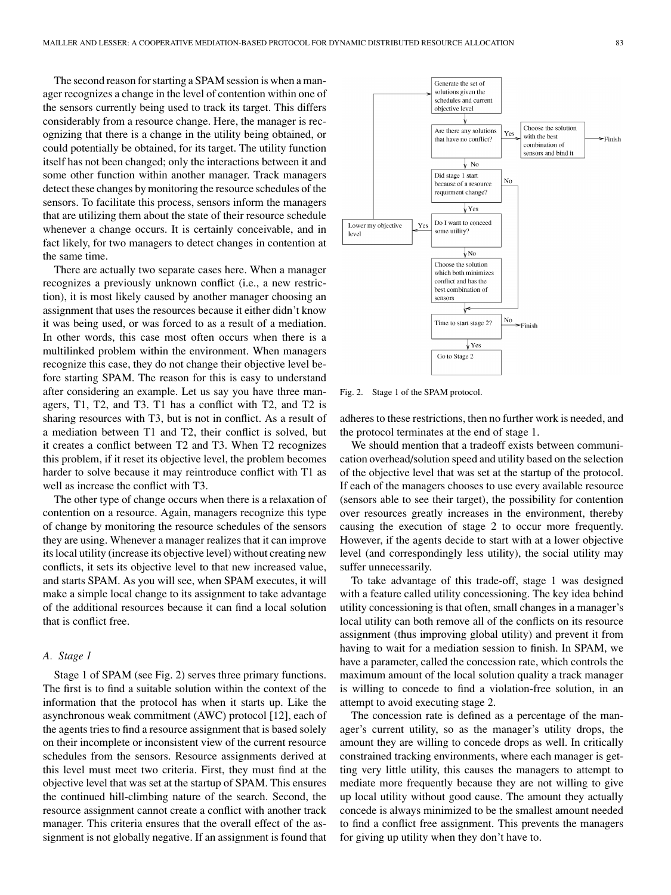The second reason for starting a SPAM session is when a manager recognizes a change in the level of contention within one of the sensors currently being used to track its target. This differs considerably from a resource change. Here, the manager is recognizing that there is a change in the utility being obtained, or could potentially be obtained, for its target. The utility function itself has not been changed; only the interactions between it and some other function within another manager. Track managers detect these changes by monitoring the resource schedules of the sensors. To facilitate this process, sensors inform the managers that are utilizing them about the state of their resource schedule whenever a change occurs. It is certainly conceivable, and in fact likely, for two managers to detect changes in contention at the same time.

There are actually two separate cases here. When a manager recognizes a previously unknown conflict (i.e., a new restriction), it is most likely caused by another manager choosing an assignment that uses the resources because it either didn't know it was being used, or was forced to as a result of a mediation. In other words, this case most often occurs when there is a multilinked problem within the environment. When managers recognize this case, they do not change their objective level before starting SPAM. The reason for this is easy to understand after considering an example. Let us say you have three managers, T1, T2, and T3. T1 has a conflict with T2, and T2 is sharing resources with T3, but is not in conflict. As a result of a mediation between T1 and T2, their conflict is solved, but it creates a conflict between T2 and T3. When T2 recognizes this problem, if it reset its objective level, the problem becomes harder to solve because it may reintroduce conflict with T1 as well as increase the conflict with T3.

The other type of change occurs when there is a relaxation of contention on a resource. Again, managers recognize this type of change by monitoring the resource schedules of the sensors they are using. Whenever a manager realizes that it can improve its local utility (increase its objective level) without creating new conflicts, it sets its objective level to that new increased value, and starts SPAM. As you will see, when SPAM executes, it will make a simple local change to its assignment to take advantage of the additional resources because it can find a local solution that is conflict free.

## *A. Stage 1*

Stage 1 of SPAM (see Fig. 2) serves three primary functions. The first is to find a suitable solution within the context of the information that the protocol has when it starts up. Like the asynchronous weak commitment (AWC) protocol [12], each of the agents tries to find a resource assignment that is based solely on their incomplete or inconsistent view of the current resource schedules from the sensors. Resource assignments derived at this level must meet two criteria. First, they must find at the objective level that was set at the startup of SPAM. This ensures the continued hill-climbing nature of the search. Second, the resource assignment cannot create a conflict with another track manager. This criteria ensures that the overall effect of the assignment is not globally negative. If an assignment is found that



Fig. 2. Stage 1 of the SPAM protocol.

adheres to these restrictions, then no further work is needed, and the protocol terminates at the end of stage 1.

We should mention that a tradeoff exists between communication overhead/solution speed and utility based on the selection of the objective level that was set at the startup of the protocol. If each of the managers chooses to use every available resource (sensors able to see their target), the possibility for contention over resources greatly increases in the environment, thereby causing the execution of stage 2 to occur more frequently. However, if the agents decide to start with at a lower objective level (and correspondingly less utility), the social utility may suffer unnecessarily.

To take advantage of this trade-off, stage 1 was designed with a feature called utility concessioning. The key idea behind utility concessioning is that often, small changes in a manager's local utility can both remove all of the conflicts on its resource assignment (thus improving global utility) and prevent it from having to wait for a mediation session to finish. In SPAM, we have a parameter, called the concession rate, which controls the maximum amount of the local solution quality a track manager is willing to concede to find a violation-free solution, in an attempt to avoid executing stage 2.

The concession rate is defined as a percentage of the manager's current utility, so as the manager's utility drops, the amount they are willing to concede drops as well. In critically constrained tracking environments, where each manager is getting very little utility, this causes the managers to attempt to mediate more frequently because they are not willing to give up local utility without good cause. The amount they actually concede is always minimized to be the smallest amount needed to find a conflict free assignment. This prevents the managers for giving up utility when they don't have to.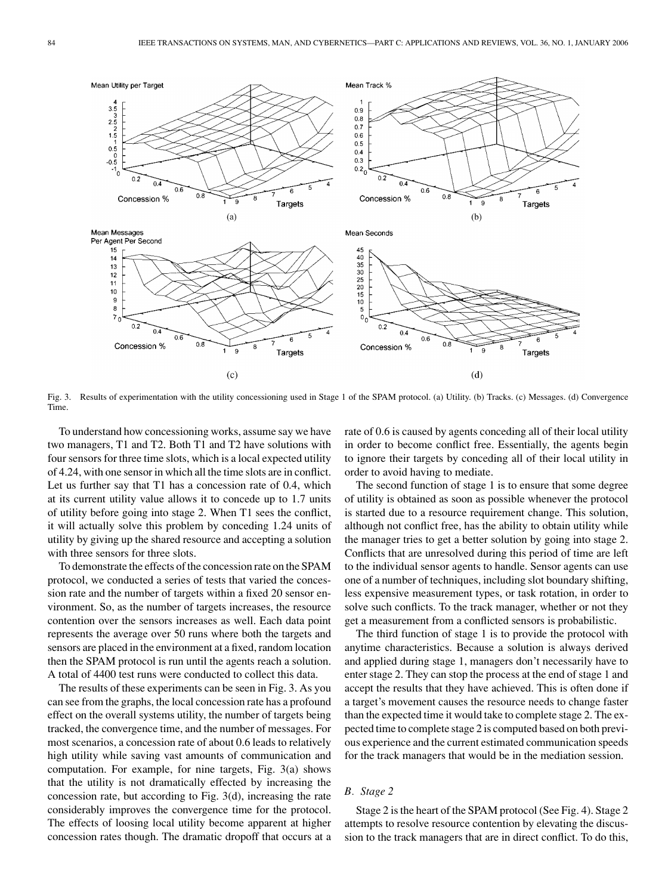

Fig. 3. Results of experimentation with the utility concessioning used in Stage 1 of the SPAM protocol. (a) Utility. (b) Tracks. (c) Messages. (d) Convergence Time.

To understand how concessioning works, assume say we have two managers, T1 and T2. Both T1 and T2 have solutions with four sensors for three time slots, which is a local expected utility of 4.24, with one sensor in which all the time slots are in conflict. Let us further say that T1 has a concession rate of 0.4, which at its current utility value allows it to concede up to 1.7 units of utility before going into stage 2. When T1 sees the conflict, it will actually solve this problem by conceding 1.24 units of utility by giving up the shared resource and accepting a solution with three sensors for three slots.

To demonstrate the effects of the concession rate on the SPAM protocol, we conducted a series of tests that varied the concession rate and the number of targets within a fixed 20 sensor environment. So, as the number of targets increases, the resource contention over the sensors increases as well. Each data point represents the average over 50 runs where both the targets and sensors are placed in the environment at a fixed, random location then the SPAM protocol is run until the agents reach a solution. A total of 4400 test runs were conducted to collect this data.

The results of these experiments can be seen in Fig. 3. As you can see from the graphs, the local concession rate has a profound effect on the overall systems utility, the number of targets being tracked, the convergence time, and the number of messages. For most scenarios, a concession rate of about 0.6 leads to relatively high utility while saving vast amounts of communication and computation. For example, for nine targets, Fig. 3(a) shows that the utility is not dramatically effected by increasing the concession rate, but according to Fig. 3(d), increasing the rate considerably improves the convergence time for the protocol. The effects of loosing local utility become apparent at higher concession rates though. The dramatic dropoff that occurs at a

rate of 0.6 is caused by agents conceding all of their local utility in order to become conflict free. Essentially, the agents begin to ignore their targets by conceding all of their local utility in order to avoid having to mediate.

The second function of stage 1 is to ensure that some degree of utility is obtained as soon as possible whenever the protocol is started due to a resource requirement change. This solution, although not conflict free, has the ability to obtain utility while the manager tries to get a better solution by going into stage 2. Conflicts that are unresolved during this period of time are left to the individual sensor agents to handle. Sensor agents can use one of a number of techniques, including slot boundary shifting, less expensive measurement types, or task rotation, in order to solve such conflicts. To the track manager, whether or not they get a measurement from a conflicted sensors is probabilistic.

The third function of stage 1 is to provide the protocol with anytime characteristics. Because a solution is always derived and applied during stage 1, managers don't necessarily have to enter stage 2. They can stop the process at the end of stage 1 and accept the results that they have achieved. This is often done if a target's movement causes the resource needs to change faster than the expected time it would take to complete stage 2. The expected time to complete stage 2 is computed based on both previous experience and the current estimated communication speeds for the track managers that would be in the mediation session.

## *B. Stage 2*

Stage 2 is the heart of the SPAM protocol (See Fig. 4). Stage 2 attempts to resolve resource contention by elevating the discussion to the track managers that are in direct conflict. To do this,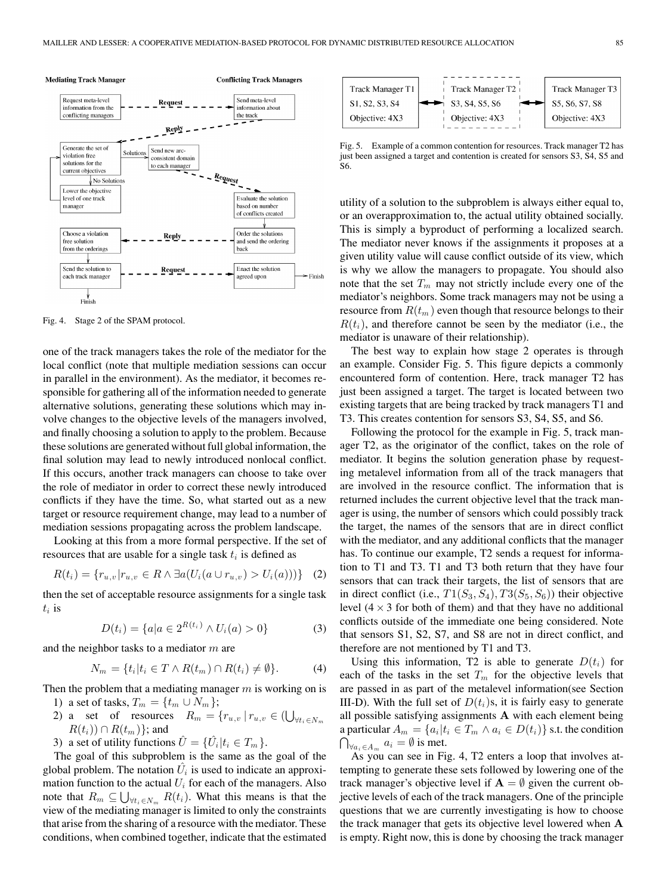

Fig. 4. Stage 2 of the SPAM protocol.

one of the track managers takes the role of the mediator for the local conflict (note that multiple mediation sessions can occur in parallel in the environment). As the mediator, it becomes responsible for gathering all of the information needed to generate alternative solutions, generating these solutions which may involve changes to the objective levels of the managers involved, and finally choosing a solution to apply to the problem. Because these solutions are generated without full global information, the final solution may lead to newly introduced nonlocal conflict. If this occurs, another track managers can choose to take over the role of mediator in order to correct these newly introduced conflicts if they have the time. So, what started out as a new target or resource requirement change, may lead to a number of mediation sessions propagating across the problem landscape.

Looking at this from a more formal perspective. If the set of resources that are usable for a single task  $t_i$  is defined as

$$
R(t_i) = \{r_{u,v} | r_{u,v} \in R \land \exists a (U_i(a \cup r_{u,v}) > U_i(a)))\} \quad (2)
$$

then the set of acceptable resource assignments for a single task  $t_i$  is

$$
D(t_i) = \{a | a \in 2^{R(t_i)} \land U_i(a) > 0\}
$$
 (3)

and the neighbor tasks to a mediator  $m$  are

$$
N_m = \{t_i | t_i \in T \wedge R(t_m) \cap R(t_i) \neq \emptyset\}.
$$
 (4)

Then the problem that a mediating manager  $m$  is working on is 1) a set of tasks,  $T_m = \{t_m \cup N_m\};$ 

- 2) a set of resources  $R_m = \{r_{u,v} | r_{u,v} \in (\bigcup_{\forall t_i \in N_m}$  $R(t_i)) \cap R(t_m)$ ; and
- 3) a set of utility functions  $U = \{U_i | t_i \in T_m\}.$

The goal of this subproblem is the same as the goal of the global problem. The notation  $U_i$  is used to indicate an approximation function to the actual  $U_i$  for each of the managers. Also note that  $R_m \subseteq \bigcup_{\forall t_i \in N_m} R(t_i)$ . What this means is that the view of the mediating manager is limited to only the constraints that arise from the sharing of a resource with the mediator. These conditions, when combined together, indicate that the estimated



Fig. 5. Example of a common contention for resources. Track manager T2 has just been assigned a target and contention is created for sensors S3, S4, S5 and S6.

utility of a solution to the subproblem is always either equal to, or an overapproximation to, the actual utility obtained socially. This is simply a byproduct of performing a localized search. The mediator never knows if the assignments it proposes at a given utility value will cause conflict outside of its view, which is why we allow the managers to propagate. You should also note that the set  $T_m$  may not strictly include every one of the mediator's neighbors. Some track managers may not be using a resource from  $R(t_m)$  even though that resource belongs to their  $R(t_i)$ , and therefore cannot be seen by the mediator (i.e., the mediator is unaware of their relationship).

The best way to explain how stage 2 operates is through an example. Consider Fig. 5. This figure depicts a commonly encountered form of contention. Here, track manager T2 has just been assigned a target. The target is located between two existing targets that are being tracked by track managers T1 and T3. This creates contention for sensors S3, S4, S5, and S6.

Following the protocol for the example in Fig. 5, track manager T2, as the originator of the conflict, takes on the role of mediator. It begins the solution generation phase by requesting metalevel information from all of the track managers that are involved in the resource conflict. The information that is returned includes the current objective level that the track manager is using, the number of sensors which could possibly track the target, the names of the sensors that are in direct conflict with the mediator, and any additional conflicts that the manager has. To continue our example, T2 sends a request for information to T1 and T3. T1 and T3 both return that they have four sensors that can track their targets, the list of sensors that are in direct conflict (i.e.,  $T1(S_3, S_4)$ ,  $T3(S_5, S_6)$ ) their objective level  $(4 \times 3$  for both of them) and that they have no additional conflicts outside of the immediate one being considered. Note that sensors S1, S2, S7, and S8 are not in direct conflict, and therefore are not mentioned by T1 and T3.

Using this information, T2 is able to generate  $D(t_i)$  for each of the tasks in the set  $T_m$  for the objective levels that are passed in as part of the metalevel information(see Section III-D). With the full set of  $D(t_i)$ s, it is fairly easy to generate all possible satisfying assignments **A** with each element being a particular  $A_m = \{a_i | t_i \in T_m \land a_i \in D(t_i)\}\$  s.t. the condition  $\bigcap_{\forall a_i \in A_m} a_i = \emptyset$  is met.

As you can see in Fig. 4, T2 enters a loop that involves attempting to generate these sets followed by lowering one of the track manager's objective level if  $A = \emptyset$  given the current objective levels of each of the track managers. One of the principle questions that we are currently investigating is how to choose the track manager that gets its objective level lowered when **A** is empty. Right now, this is done by choosing the track manager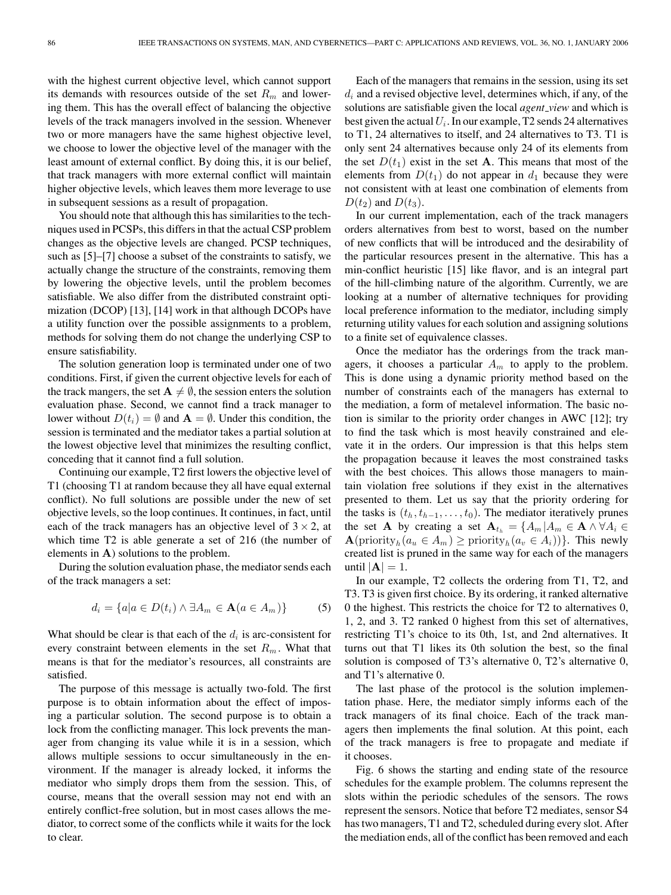with the highest current objective level, which cannot support its demands with resources outside of the set  $R_m$  and lowering them. This has the overall effect of balancing the objective levels of the track managers involved in the session. Whenever two or more managers have the same highest objective level, we choose to lower the objective level of the manager with the least amount of external conflict. By doing this, it is our belief, that track managers with more external conflict will maintain higher objective levels, which leaves them more leverage to use in subsequent sessions as a result of propagation.

You should note that although this has similarities to the techniques used in PCSPs, this differs in that the actual CSP problem changes as the objective levels are changed. PCSP techniques, such as [5]–[7] choose a subset of the constraints to satisfy, we actually change the structure of the constraints, removing them by lowering the objective levels, until the problem becomes satisfiable. We also differ from the distributed constraint optimization (DCOP) [13], [14] work in that although DCOPs have a utility function over the possible assignments to a problem, methods for solving them do not change the underlying CSP to ensure satisfiability.

The solution generation loop is terminated under one of two conditions. First, if given the current objective levels for each of the track mangers, the set  $A \neq \emptyset$ , the session enters the solution evaluation phase. Second, we cannot find a track manager to lower without  $D(t_i) = \emptyset$  and  $\mathbf{A} = \emptyset$ . Under this condition, the session is terminated and the mediator takes a partial solution at the lowest objective level that minimizes the resulting conflict, conceding that it cannot find a full solution.

Continuing our example, T2 first lowers the objective level of T1 (choosing T1 at random because they all have equal external conflict). No full solutions are possible under the new of set objective levels, so the loop continues. It continues, in fact, until each of the track managers has an objective level of  $3 \times 2$ , at which time T2 is able generate a set of 216 (the number of elements in **A**) solutions to the problem.

During the solution evaluation phase, the mediator sends each of the track managers a set:

$$
d_i = \{a | a \in D(t_i) \land \exists A_m \in \mathbf{A}(a \in A_m)\}\tag{5}
$$

What should be clear is that each of the  $d_i$  is arc-consistent for every constraint between elements in the set  $R_m$ . What that means is that for the mediator's resources, all constraints are satisfied.

The purpose of this message is actually two-fold. The first purpose is to obtain information about the effect of imposing a particular solution. The second purpose is to obtain a lock from the conflicting manager. This lock prevents the manager from changing its value while it is in a session, which allows multiple sessions to occur simultaneously in the environment. If the manager is already locked, it informs the mediator who simply drops them from the session. This, of course, means that the overall session may not end with an entirely conflict-free solution, but in most cases allows the mediator, to correct some of the conflicts while it waits for the lock to clear.

Each of the managers that remains in the session, using its set  $d_i$  and a revised objective level, determines which, if any, of the solutions are satisfiable given the local *agent view* and which is best given the actual  $U_i$ . In our example, T2 sends 24 alternatives to T1, 24 alternatives to itself, and 24 alternatives to T3. T1 is only sent 24 alternatives because only 24 of its elements from the set  $D(t_1)$  exist in the set **A**. This means that most of the elements from  $D(t_1)$  do not appear in  $d_1$  because they were not consistent with at least one combination of elements from  $D(t_2)$  and  $D(t_3)$ .

In our current implementation, each of the track managers orders alternatives from best to worst, based on the number of new conflicts that will be introduced and the desirability of the particular resources present in the alternative. This has a min-conflict heuristic [15] like flavor, and is an integral part of the hill-climbing nature of the algorithm. Currently, we are looking at a number of alternative techniques for providing local preference information to the mediator, including simply returning utility values for each solution and assigning solutions to a finite set of equivalence classes.

Once the mediator has the orderings from the track managers, it chooses a particular  $A_m$  to apply to the problem. This is done using a dynamic priority method based on the number of constraints each of the managers has external to the mediation, a form of metalevel information. The basic notion is similar to the priority order changes in AWC [12]; try to find the task which is most heavily constrained and elevate it in the orders. Our impression is that this helps stem the propagation because it leaves the most constrained tasks with the best choices. This allows those managers to maintain violation free solutions if they exist in the alternatives presented to them. Let us say that the priority ordering for the tasks is  $(t_h, t_{h-1},...,t_0)$ . The mediator iteratively prunes the set **A** by creating a set  $A_{t_h} = \{A_m | A_m \in A \land \forall A_i \in A_m\}$  $\mathbf{A}(\text{priority}_h(a_u \in A_m) \geq \text{priority}_h(a_v \in A_i))\}.$  This newly created list is pruned in the same way for each of the managers until  $|\mathbf{A}| = 1$ .

In our example, T2 collects the ordering from T1, T2, and T3. T3 is given first choice. By its ordering, it ranked alternative 0 the highest. This restricts the choice for T2 to alternatives 0, 1, 2, and 3. T2 ranked 0 highest from this set of alternatives, restricting T1's choice to its 0th, 1st, and 2nd alternatives. It turns out that T1 likes its 0th solution the best, so the final solution is composed of T3's alternative 0, T2's alternative 0, and T1's alternative 0.

The last phase of the protocol is the solution implementation phase. Here, the mediator simply informs each of the track managers of its final choice. Each of the track managers then implements the final solution. At this point, each of the track managers is free to propagate and mediate if it chooses.

Fig. 6 shows the starting and ending state of the resource schedules for the example problem. The columns represent the slots within the periodic schedules of the sensors. The rows represent the sensors. Notice that before T2 mediates, sensor S4 has two managers, T1 and T2, scheduled during every slot. After the mediation ends, all of the conflict has been removed and each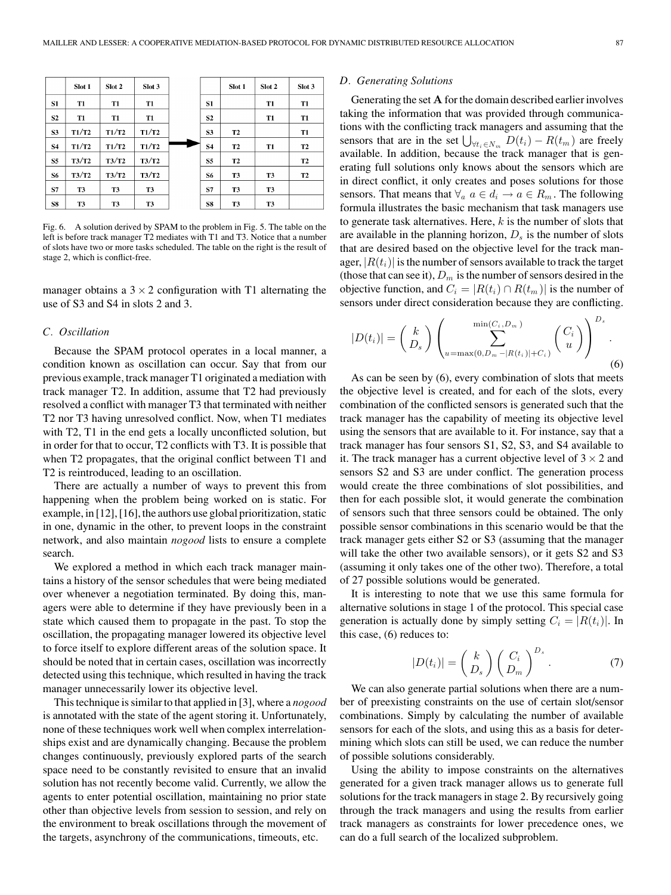|                | Slot 1    | Slot 2    | Slot 3    |  |                | Slot 1    | Slot 2         | Slot 3    |
|----------------|-----------|-----------|-----------|--|----------------|-----------|----------------|-----------|
| S1             | T1        | T1        | Т1        |  | S1             |           | T1             | T1        |
| S <sub>2</sub> | <b>T1</b> | T1        | T1        |  | S <sub>2</sub> |           | T1             | T1        |
| S <sub>3</sub> | T1/T2     | T1/T2     | T1/T2     |  | S3             | <b>T2</b> |                | T1        |
| <b>S4</b>      | T1/T2     | T1/T2     | T1/T2     |  | <b>S4</b>      | <b>T2</b> | T1             | T2        |
| S5             | T3/T2     | T3/T2     | T3/T2     |  | S5             | <b>T2</b> |                | T2        |
| <b>S6</b>      | T3/T2     | T3/T2     | T3/T2     |  | <b>S6</b>      | T3        | T <sub>3</sub> | <b>T2</b> |
| <b>S7</b>      | T3        | <b>T3</b> | <b>T3</b> |  | <b>S7</b>      | T3        | T3             |           |
| <b>S8</b>      | T3        | T3        | T3        |  | S8             | T3        | T3             |           |

Fig. 6. A solution derived by SPAM to the problem in Fig. 5. The table on the left is before track manager T2 mediates with T1 and T3. Notice that a number of slots have two or more tasks scheduled. The table on the right is the result of stage 2, which is conflict-free.

manager obtains a  $3 \times 2$  configuration with T1 alternating the use of S3 and S4 in slots 2 and 3.

### *C. Oscillation*

Because the SPAM protocol operates in a local manner, a condition known as oscillation can occur. Say that from our previous example, track manager T1 originated a mediation with track manager T2. In addition, assume that T2 had previously resolved a conflict with manager T3 that terminated with neither T2 nor T3 having unresolved conflict. Now, when T1 mediates with T2, T1 in the end gets a locally unconflicted solution, but in order for that to occur, T2 conflicts with T3. It is possible that when T2 propagates, that the original conflict between T1 and T2 is reintroduced, leading to an oscillation.

There are actually a number of ways to prevent this from happening when the problem being worked on is static. For example, in [12], [16], the authors use global prioritization, static in one, dynamic in the other, to prevent loops in the constraint network, and also maintain *nogood* lists to ensure a complete search.

We explored a method in which each track manager maintains a history of the sensor schedules that were being mediated over whenever a negotiation terminated. By doing this, managers were able to determine if they have previously been in a state which caused them to propagate in the past. To stop the oscillation, the propagating manager lowered its objective level to force itself to explore different areas of the solution space. It should be noted that in certain cases, oscillation was incorrectly detected using this technique, which resulted in having the track manager unnecessarily lower its objective level.

This technique is similar to that applied in [3], where a *nogood* is annotated with the state of the agent storing it. Unfortunately, none of these techniques work well when complex interrelationships exist and are dynamically changing. Because the problem changes continuously, previously explored parts of the search space need to be constantly revisited to ensure that an invalid solution has not recently become valid. Currently, we allow the agents to enter potential oscillation, maintaining no prior state other than objective levels from session to session, and rely on the environment to break oscillations through the movement of the targets, asynchrony of the communications, timeouts, etc.

## *D. Generating Solutions*

Generating the set **A** for the domain described earlier involves taking the information that was provided through communications with the conflicting track managers and assuming that the sensors that are in the set  $\bigcup_{\forall t_i \in N_m} D(t_i) - R(t_m)$  are freely available. In addition, because the track manager that is generating full solutions only knows about the sensors which are in direct conflict, it only creates and poses solutions for those sensors. That means that  $\forall a \in \mathcal{A} \rightarrow a \in \mathbb{R}_m$ . The following formula illustrates the basic mechanism that task managers use to generate task alternatives. Here,  $k$  is the number of slots that are available in the planning horizon,  $D_s$  is the number of slots that are desired based on the objective level for the track manager,  $|R(t_i)|$  is the number of sensors available to track the target (those that can see it),  $D_m$  is the number of sensors desired in the objective function, and  $C_i = |R(t_i) \cap R(t_m)|$  is the number of sensors under direct consideration because they are conflicting.

$$
|D(t_i)| = \left(\begin{array}{c} k \\ D_s \end{array}\right) \left(\begin{array}{c} \min(C_i, D_m) \\ \sum_{u = \max(0, D_m - |R(t_i)| + C_i)}^{m} \binom{C_i}{u} \end{array}\right)^{D_s}.
$$
\n(6)

As can be seen by (6), every combination of slots that meets the objective level is created, and for each of the slots, every combination of the conflicted sensors is generated such that the track manager has the capability of meeting its objective level using the sensors that are available to it. For instance, say that a track manager has four sensors S1, S2, S3, and S4 available to it. The track manager has a current objective level of  $3 \times 2$  and sensors S2 and S3 are under conflict. The generation process would create the three combinations of slot possibilities, and then for each possible slot, it would generate the combination of sensors such that three sensors could be obtained. The only possible sensor combinations in this scenario would be that the track manager gets either S2 or S3 (assuming that the manager will take the other two available sensors), or it gets S2 and S3 (assuming it only takes one of the other two). Therefore, a total of 27 possible solutions would be generated.

It is interesting to note that we use this same formula for alternative solutions in stage 1 of the protocol. This special case generation is actually done by simply setting  $C_i = |R(t_i)|$ . In this case, (6) reduces to:

$$
|D(t_i)| = \left(\begin{array}{c} k \\ D_s \end{array}\right) \left(\begin{array}{c} C_i \\ D_m \end{array}\right)^{D_s}.
$$
 (7)

We can also generate partial solutions when there are a number of preexisting constraints on the use of certain slot/sensor combinations. Simply by calculating the number of available sensors for each of the slots, and using this as a basis for determining which slots can still be used, we can reduce the number of possible solutions considerably.

Using the ability to impose constraints on the alternatives generated for a given track manager allows us to generate full solutions for the track managers in stage 2. By recursively going through the track managers and using the results from earlier track managers as constraints for lower precedence ones, we can do a full search of the localized subproblem.

 $\overline{D}$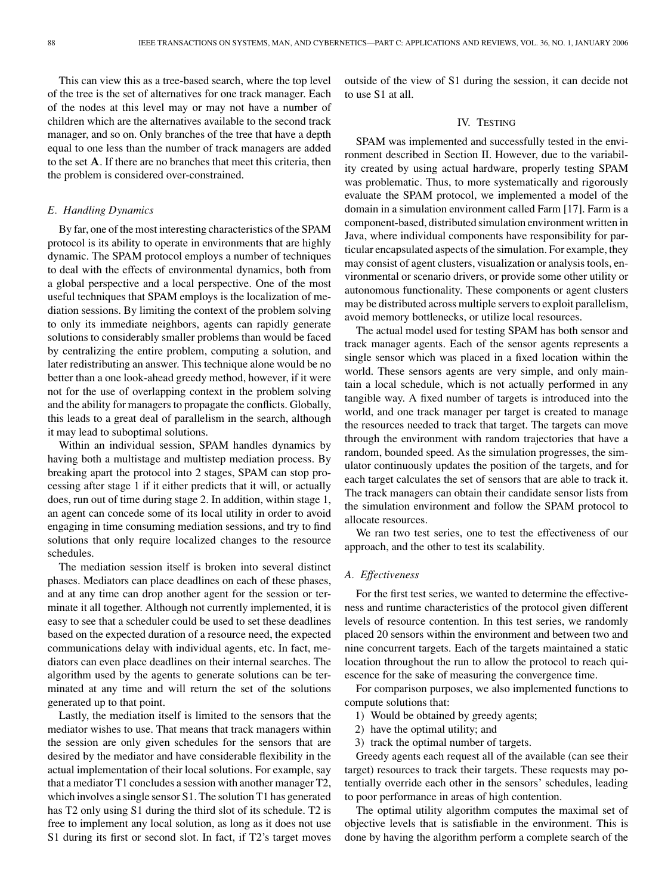This can view this as a tree-based search, where the top level of the tree is the set of alternatives for one track manager. Each of the nodes at this level may or may not have a number of children which are the alternatives available to the second track manager, and so on. Only branches of the tree that have a depth equal to one less than the number of track managers are added to the set **A**. If there are no branches that meet this criteria, then the problem is considered over-constrained.

## *E. Handling Dynamics*

By far, one of the most interesting characteristics of the SPAM protocol is its ability to operate in environments that are highly dynamic. The SPAM protocol employs a number of techniques to deal with the effects of environmental dynamics, both from a global perspective and a local perspective. One of the most useful techniques that SPAM employs is the localization of mediation sessions. By limiting the context of the problem solving to only its immediate neighbors, agents can rapidly generate solutions to considerably smaller problems than would be faced by centralizing the entire problem, computing a solution, and later redistributing an answer. This technique alone would be no better than a one look-ahead greedy method, however, if it were not for the use of overlapping context in the problem solving and the ability for managers to propagate the conflicts. Globally, this leads to a great deal of parallelism in the search, although it may lead to suboptimal solutions.

Within an individual session, SPAM handles dynamics by having both a multistage and multistep mediation process. By breaking apart the protocol into 2 stages, SPAM can stop processing after stage 1 if it either predicts that it will, or actually does, run out of time during stage 2. In addition, within stage 1, an agent can concede some of its local utility in order to avoid engaging in time consuming mediation sessions, and try to find solutions that only require localized changes to the resource schedules.

The mediation session itself is broken into several distinct phases. Mediators can place deadlines on each of these phases, and at any time can drop another agent for the session or terminate it all together. Although not currently implemented, it is easy to see that a scheduler could be used to set these deadlines based on the expected duration of a resource need, the expected communications delay with individual agents, etc. In fact, mediators can even place deadlines on their internal searches. The algorithm used by the agents to generate solutions can be terminated at any time and will return the set of the solutions generated up to that point.

Lastly, the mediation itself is limited to the sensors that the mediator wishes to use. That means that track managers within the session are only given schedules for the sensors that are desired by the mediator and have considerable flexibility in the actual implementation of their local solutions. For example, say that a mediator T1 concludes a session with another manager T2, which involves a single sensor S1. The solution T1 has generated has T2 only using S1 during the third slot of its schedule. T2 is free to implement any local solution, as long as it does not use S1 during its first or second slot. In fact, if T2's target moves

outside of the view of S1 during the session, it can decide not to use S1 at all.

## IV. TESTING

SPAM was implemented and successfully tested in the environment described in Section II. However, due to the variability created by using actual hardware, properly testing SPAM was problematic. Thus, to more systematically and rigorously evaluate the SPAM protocol, we implemented a model of the domain in a simulation environment called Farm [17]. Farm is a component-based, distributed simulation environment written in Java, where individual components have responsibility for particular encapsulated aspects of the simulation. For example, they may consist of agent clusters, visualization or analysis tools, environmental or scenario drivers, or provide some other utility or autonomous functionality. These components or agent clusters may be distributed across multiple servers to exploit parallelism, avoid memory bottlenecks, or utilize local resources.

The actual model used for testing SPAM has both sensor and track manager agents. Each of the sensor agents represents a single sensor which was placed in a fixed location within the world. These sensors agents are very simple, and only maintain a local schedule, which is not actually performed in any tangible way. A fixed number of targets is introduced into the world, and one track manager per target is created to manage the resources needed to track that target. The targets can move through the environment with random trajectories that have a random, bounded speed. As the simulation progresses, the simulator continuously updates the position of the targets, and for each target calculates the set of sensors that are able to track it. The track managers can obtain their candidate sensor lists from the simulation environment and follow the SPAM protocol to allocate resources.

We ran two test series, one to test the effectiveness of our approach, and the other to test its scalability.

### *A. Effectiveness*

For the first test series, we wanted to determine the effectiveness and runtime characteristics of the protocol given different levels of resource contention. In this test series, we randomly placed 20 sensors within the environment and between two and nine concurrent targets. Each of the targets maintained a static location throughout the run to allow the protocol to reach quiescence for the sake of measuring the convergence time.

For comparison purposes, we also implemented functions to compute solutions that:

- 1) Would be obtained by greedy agents;
- 2) have the optimal utility; and
- 3) track the optimal number of targets.

Greedy agents each request all of the available (can see their target) resources to track their targets. These requests may potentially override each other in the sensors' schedules, leading to poor performance in areas of high contention.

The optimal utility algorithm computes the maximal set of objective levels that is satisfiable in the environment. This is done by having the algorithm perform a complete search of the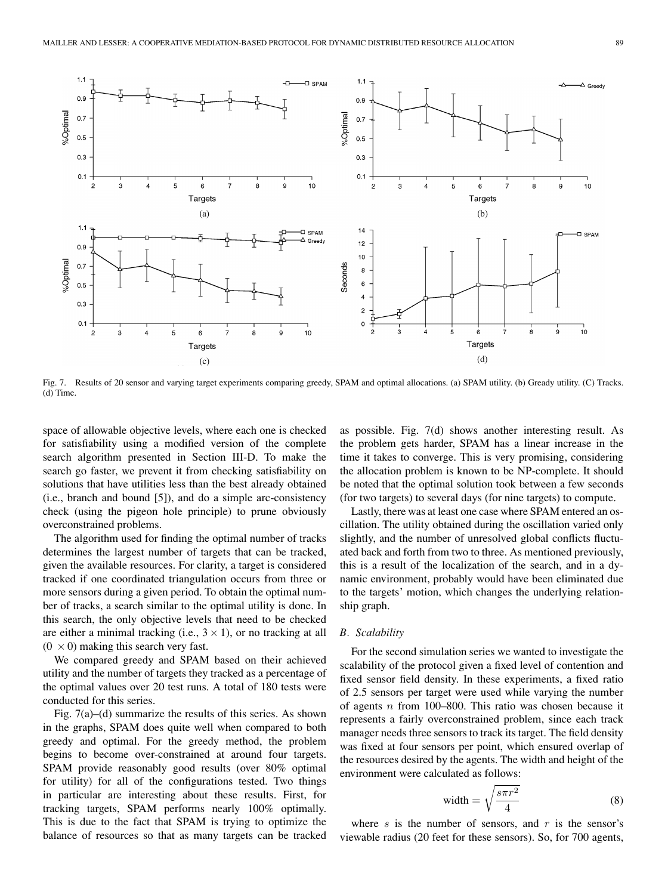

Fig. 7. Results of 20 sensor and varying target experiments comparing greedy, SPAM and optimal allocations. (a) SPAM utility. (b) Gready utility. (C) Tracks. (d) Time.

space of allowable objective levels, where each one is checked for satisfiability using a modified version of the complete search algorithm presented in Section III-D. To make the search go faster, we prevent it from checking satisfiability on solutions that have utilities less than the best already obtained (i.e., branch and bound [5]), and do a simple arc-consistency check (using the pigeon hole principle) to prune obviously overconstrained problems.

The algorithm used for finding the optimal number of tracks determines the largest number of targets that can be tracked, given the available resources. For clarity, a target is considered tracked if one coordinated triangulation occurs from three or more sensors during a given period. To obtain the optimal number of tracks, a search similar to the optimal utility is done. In this search, the only objective levels that need to be checked are either a minimal tracking (i.e.,  $3 \times 1$ ), or no tracking at all  $(0 \times 0)$  making this search very fast.

We compared greedy and SPAM based on their achieved utility and the number of targets they tracked as a percentage of the optimal values over 20 test runs. A total of 180 tests were conducted for this series.

Fig. 7(a)–(d) summarize the results of this series. As shown in the graphs, SPAM does quite well when compared to both greedy and optimal. For the greedy method, the problem begins to become over-constrained at around four targets. SPAM provide reasonably good results (over 80% optimal for utility) for all of the configurations tested. Two things in particular are interesting about these results. First, for tracking targets, SPAM performs nearly 100% optimally. This is due to the fact that SPAM is trying to optimize the balance of resources so that as many targets can be tracked as possible. Fig. 7(d) shows another interesting result. As the problem gets harder, SPAM has a linear increase in the time it takes to converge. This is very promising, considering the allocation problem is known to be NP-complete. It should be noted that the optimal solution took between a few seconds (for two targets) to several days (for nine targets) to compute.

Lastly, there was at least one case where SPAM entered an oscillation. The utility obtained during the oscillation varied only slightly, and the number of unresolved global conflicts fluctuated back and forth from two to three. As mentioned previously, this is a result of the localization of the search, and in a dynamic environment, probably would have been eliminated due to the targets' motion, which changes the underlying relationship graph.

## *B. Scalability*

For the second simulation series we wanted to investigate the scalability of the protocol given a fixed level of contention and fixed sensor field density. In these experiments, a fixed ratio of 2.5 sensors per target were used while varying the number of agents n from 100–800. This ratio was chosen because it represents a fairly overconstrained problem, since each track manager needs three sensors to track its target. The field density was fixed at four sensors per point, which ensured overlap of the resources desired by the agents. The width and height of the environment were calculated as follows:

$$
width = \sqrt{\frac{s\pi r^2}{4}} \tag{8}
$$

where s is the number of sensors, and r is the sensor's viewable radius (20 feet for these sensors). So, for 700 agents,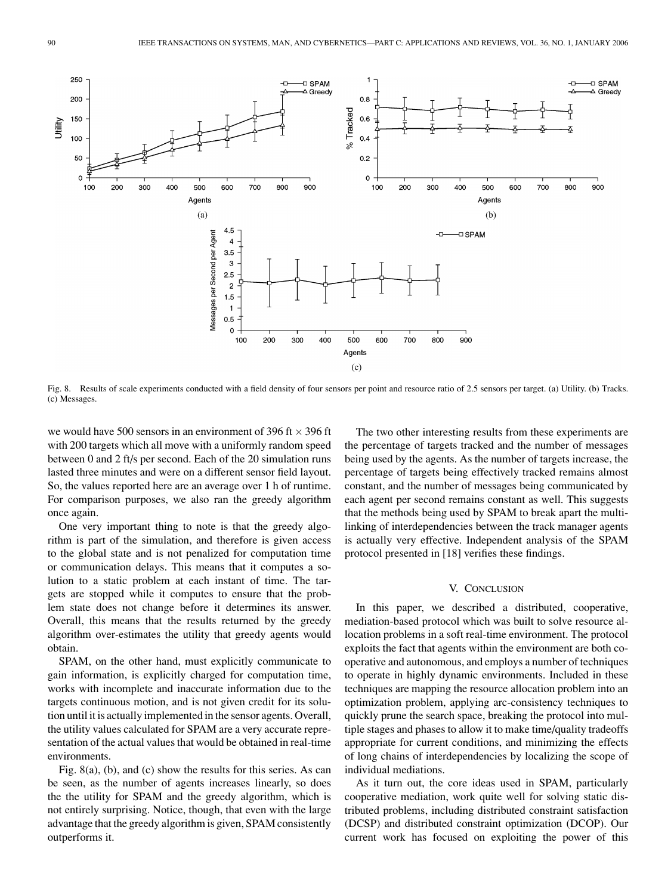Fig. 8. Results of scale experiments conducted with a field density of four sensors per point and resource ratio of 2.5 sensors per target. (a) Utility. (b) Tracks. (c) Messages.

we would have 500 sensors in an environment of 396 ft  $\times$  396 ft with 200 targets which all move with a uniformly random speed between 0 and 2 ft/s per second. Each of the 20 simulation runs lasted three minutes and were on a different sensor field layout. So, the values reported here are an average over 1 h of runtime. For comparison purposes, we also ran the greedy algorithm once again.

One very important thing to note is that the greedy algorithm is part of the simulation, and therefore is given access to the global state and is not penalized for computation time or communication delays. This means that it computes a solution to a static problem at each instant of time. The targets are stopped while it computes to ensure that the problem state does not change before it determines its answer. Overall, this means that the results returned by the greedy algorithm over-estimates the utility that greedy agents would obtain.

SPAM, on the other hand, must explicitly communicate to gain information, is explicitly charged for computation time, works with incomplete and inaccurate information due to the targets continuous motion, and is not given credit for its solution until it is actually implemented in the sensor agents. Overall, the utility values calculated for SPAM are a very accurate representation of the actual values that would be obtained in real-time environments.

Fig. 8(a), (b), and (c) show the results for this series. As can be seen, as the number of agents increases linearly, so does the the utility for SPAM and the greedy algorithm, which is not entirely surprising. Notice, though, that even with the large advantage that the greedy algorithm is given, SPAM consistently outperforms it.

The two other interesting results from these experiments are the percentage of targets tracked and the number of messages being used by the agents. As the number of targets increase, the percentage of targets being effectively tracked remains almost constant, and the number of messages being communicated by each agent per second remains constant as well. This suggests that the methods being used by SPAM to break apart the multilinking of interdependencies between the track manager agents is actually very effective. Independent analysis of the SPAM protocol presented in [18] verifies these findings.

## V. CONCLUSION

In this paper, we described a distributed, cooperative, mediation-based protocol which was built to solve resource allocation problems in a soft real-time environment. The protocol exploits the fact that agents within the environment are both cooperative and autonomous, and employs a number of techniques to operate in highly dynamic environments. Included in these techniques are mapping the resource allocation problem into an optimization problem, applying arc-consistency techniques to quickly prune the search space, breaking the protocol into multiple stages and phases to allow it to make time/quality tradeoffs appropriate for current conditions, and minimizing the effects of long chains of interdependencies by localizing the scope of individual mediations.

As it turn out, the core ideas used in SPAM, particularly cooperative mediation, work quite well for solving static distributed problems, including distributed constraint satisfaction (DCSP) and distributed constraint optimization (DCOP). Our current work has focused on exploiting the power of this